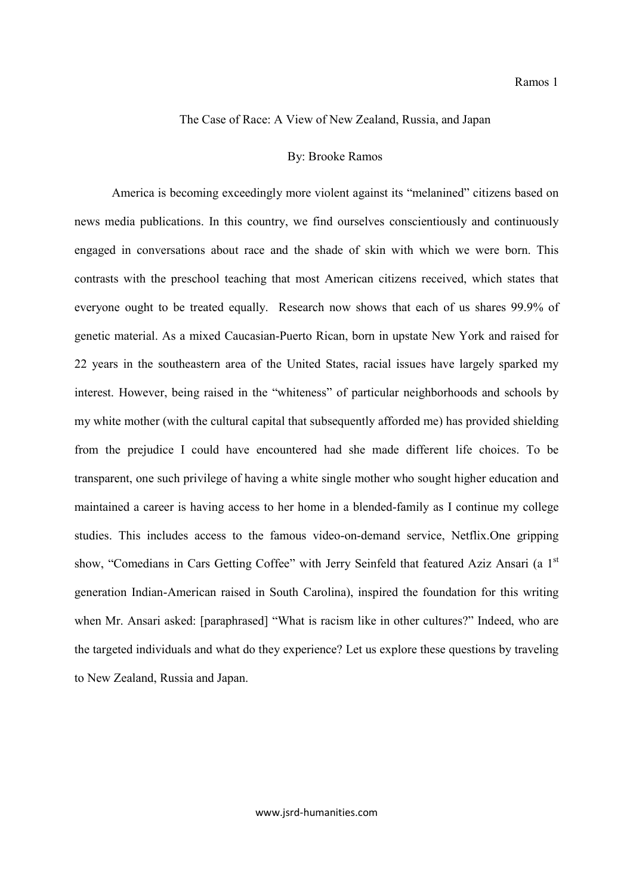# The Case of Race: A View of New Zealand, Russia, and Japan

### By: Brooke Ramos

America is becoming exceedingly more violent against its "melanined" citizens based on news media publications. In this country, we find ourselves conscientiously and continuously engaged in conversations about race and the shade of skin with which we were born. This contrasts with the preschool teaching that most American citizens received, which states that everyone ought to be treated equally. Research now shows that each of us shares 99.9% of genetic material. As a mixed Caucasian-Puerto Rican, born in upstate New York and raised for 22 years in the southeastern area of the United States, racial issues have largely sparked my interest. However, being raised in the "whiteness" of particular neighborhoods and schools by my white mother (with the cultural capital that subsequently afforded me) has provided shielding from the prejudice I could have encountered had she made different life choices. To be transparent, one such privilege of having a white single mother who sought higher education and maintained a career is having access to her home in a blended-family as I continue my college studies. This includes access to the famous video-on-demand service, Netflix.One gripping show, "Comedians in Cars Getting Coffee" with Jerry Seinfeld that featured Aziz Ansari (a 1<sup>st</sup>) generation Indian-American raised in South Carolina), inspired the foundation for this writing when Mr. Ansari asked: [paraphrased] "What is racism like in other cultures?" Indeed, who are the targeted individuals and what do they experience? Let us explore these questions by traveling to New Zealand, Russia and Japan.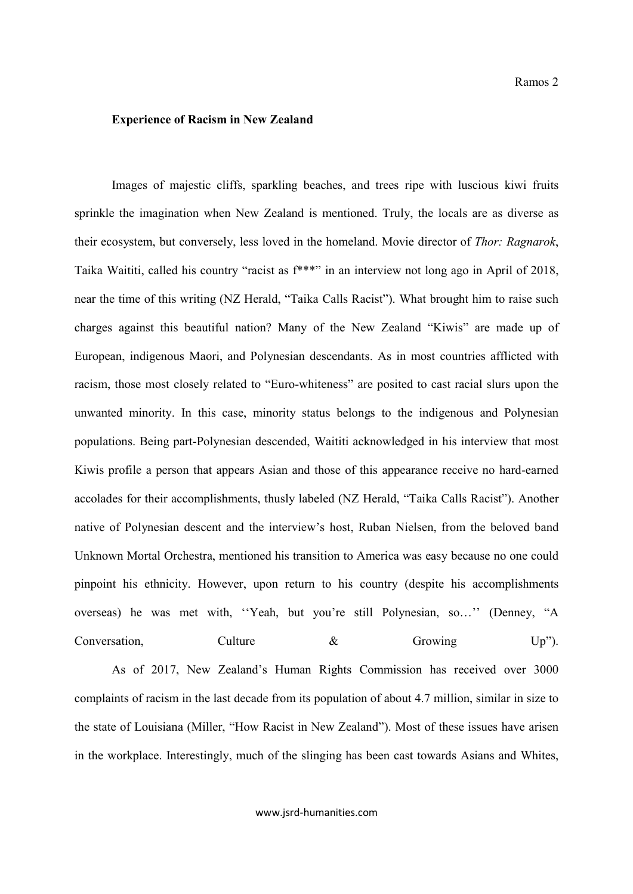## Experience of Racism in New Zealand

Images of majestic cliffs, sparkling beaches, and trees ripe with luscious kiwi fruits sprinkle the imagination when New Zealand is mentioned. Truly, the locals are as diverse as their ecosystem, but conversely, less loved in the homeland. Movie director of *Thor: Ragnarok*, Taika Waititi, called his country "racist as f\*\*\*" in an interview not long ago in April of 2018, near the time of this writing (NZ Herald, "Taika Calls Racist"). What brought him to raise such charges against this beautiful nation? Many of the New Zealand "Kiwis" are made up of European, indigenous Maori, and Polynesian descendants. As in most countries afflicted with racism, those most closely related to "Euro-whiteness" are posited to cast racial slurs upon the unwanted minority. In this case, minority status belongs to the indigenous and Polynesian populations. Being part-Polynesian descended, Waititi acknowledged in his interview that most Kiwis profile a person that appears Asian and those of this appearance receive no hard-earned accolades for their accomplishments, thusly labeled (NZ Herald, "Taika Calls Racist"). Another native of Polynesian descent and the interview's host, Ruban Nielsen, from the beloved band Unknown Mortal Orchestra, mentioned his transition to America was easy because no one could pinpoint his ethnicity. However, upon return to his country (despite his accomplishments overseas) he was met with, ''Yeah, but you're still Polynesian, so…'' (Denney, "A Conversation. Culture  $\&$  Growing Up").

As of 2017, New Zealand's Human Rights Commission has received over 3000 complaints of racism in the last decade from its population of about 4.7 million, similar in size to the state of Louisiana (Miller, "How Racist in New Zealand"). Most of these issues have arisen in the workplace. Interestingly, much of the slinging has been cast towards Asians and Whites,

www.jsrd-humanities.com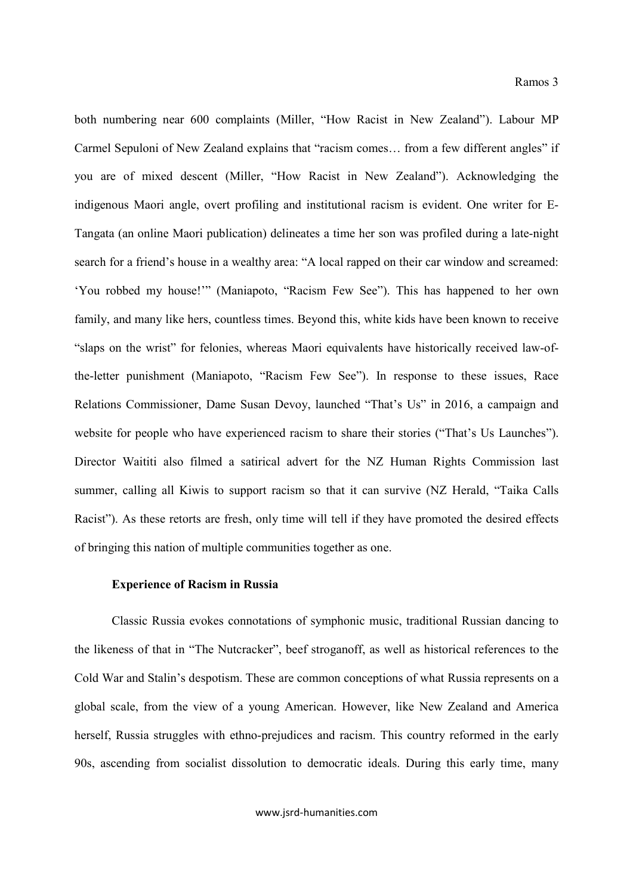both numbering near 600 complaints (Miller, "How Racist in New Zealand"). Labour MP Carmel Sepuloni of New Zealand explains that "racism comes… from a few different angles" if you are of mixed descent (Miller, "How Racist in New Zealand"). Acknowledging the indigenous Maori angle, overt profiling and institutional racism is evident. One writer for E-Tangata (an online Maori publication) delineates a time her son was profiled during a late-night search for a friend's house in a wealthy area: "A local rapped on their car window and screamed: 'You robbed my house!'" (Maniapoto, "Racism Few See"). This has happened to her own family, and many like hers, countless times. Beyond this, white kids have been known to receive "slaps on the wrist" for felonies, whereas Maori equivalents have historically received law-ofthe-letter punishment (Maniapoto, "Racism Few See"). In response to these issues, Race Relations Commissioner, Dame Susan Devoy, launched "That's Us" in 2016, a campaign and website for people who have experienced racism to share their stories ("That's Us Launches"). Director Waititi also filmed a satirical advert for the NZ Human Rights Commission last summer, calling all Kiwis to support racism so that it can survive (NZ Herald, "Taika Calls Racist"). As these retorts are fresh, only time will tell if they have promoted the desired effects of bringing this nation of multiple communities together as one.

#### Experience of Racism in Russia

Classic Russia evokes connotations of symphonic music, traditional Russian dancing to the likeness of that in "The Nutcracker", beef stroganoff, as well as historical references to the Cold War and Stalin's despotism. These are common conceptions of what Russia represents on a global scale, from the view of a young American. However, like New Zealand and America herself, Russia struggles with ethno-prejudices and racism. This country reformed in the early 90s, ascending from socialist dissolution to democratic ideals. During this early time, many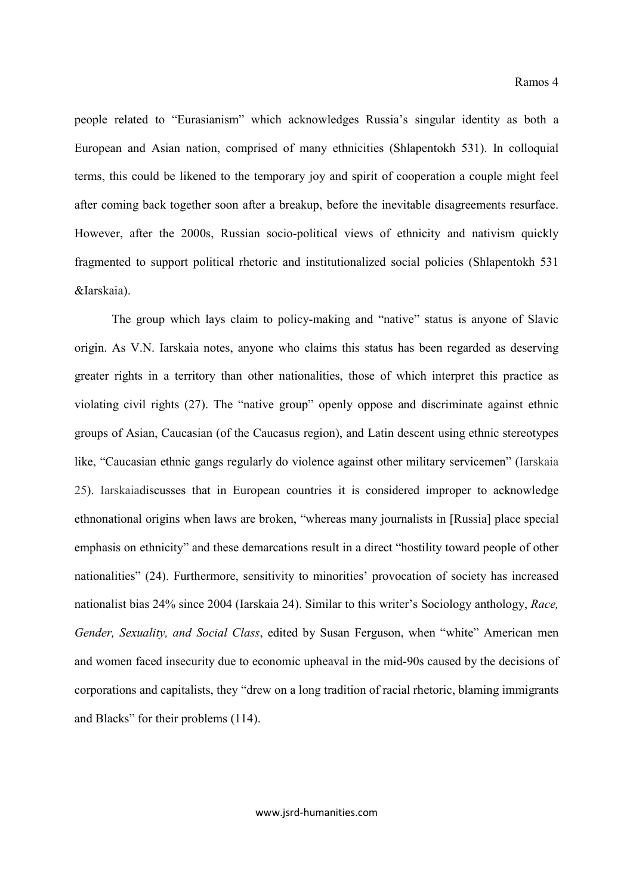people related to "Eurasianism" which acknowledges Russia's singular identity as both a European and Asian nation, comprised of many ethnicities (Shlapentokh 531). In colloquial terms, this could be likened to the temporary joy and spirit of cooperation a couple might feel after coming back together soon after a breakup, before the inevitable disagreements resurface. However, after the 2000s, Russian socio-political views of ethnicity and nativism quickly fragmented to support political rhetoric and institutionalized social policies (Shlapentokh 531 &Iarskaia).

The group which lays claim to policy-making and "native" status is anyone of Slavic origin. As V.N. Iarskaia notes, anyone who claims this status has been regarded as deserving greater rights in a territory than other nationalities, those of which interpret this practice as violating civil rights (27). The "native group" openly oppose and discriminate against ethnic groups of Asian, Caucasian (of the Caucasus region), and Latin descent using ethnic stereotypes like, "Caucasian ethnic gangs regularly do violence against other military servicemen" (Iarskaia 25). Iarskaiadiscusses that in European countries it is considered improper to acknowledge ethnonational origins when laws are broken, "whereas many journalists in [Russia] place special emphasis on ethnicity" and these demarcations result in a direct "hostility toward people of other nationalities" (24). Furthermore, sensitivity to minorities' provocation of society has increased nationalist bias 24% since 2004 (Iarskaia 24). Similar to this writer's Sociology anthology, *Race, Gender, Sexuality, and Social Class*, edited by Susan Ferguson, when "white" American men and women faced insecurity due to economic upheaval in the mid-90s caused by the decisions of corporations and capitalists, they "drew on a long tradition of racial rhetoric, blaming immigrants and Blacks" for their problems (114).

www.jsrd-humanities.com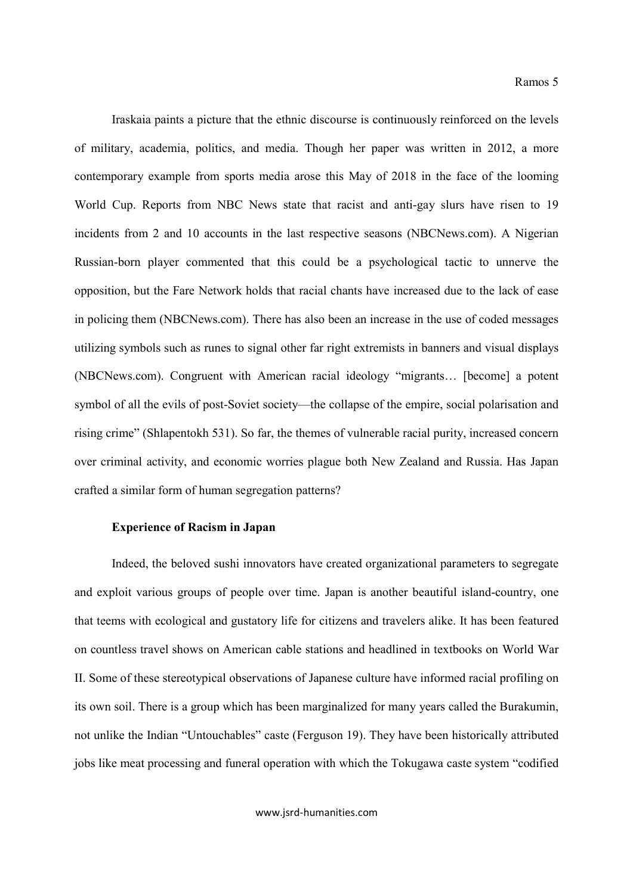Iraskaia paints a picture that the ethnic discourse is continuously reinforced on the levels of military, academia, politics, and media. Though her paper was written in 2012, a more contemporary example from sports media arose this May of 2018 in the face of the looming World Cup. Reports from NBC News state that racist and anti-gay slurs have risen to 19 incidents from 2 and 10 accounts in the last respective seasons (NBCNews.com). A Nigerian Russian-born player commented that this could be a psychological tactic to unnerve the opposition, but the Fare Network holds that racial chants have increased due to the lack of ease in policing them (NBCNews.com). There has also been an increase in the use of coded messages utilizing symbols such as runes to signal other far right extremists in banners and visual displays (NBCNews.com). Congruent with American racial ideology "migrants… [become] a potent symbol of all the evils of post-Soviet society—the collapse of the empire, social polarisation and rising crime" (Shlapentokh 531). So far, the themes of vulnerable racial purity, increased concern over criminal activity, and economic worries plague both New Zealand and Russia. Has Japan crafted a similar form of human segregation patterns?

#### Experience of Racism in Japan

Indeed, the beloved sushi innovators have created organizational parameters to segregate and exploit various groups of people over time. Japan is another beautiful island-country, one that teems with ecological and gustatory life for citizens and travelers alike. It has been featured on countless travel shows on American cable stations and headlined in textbooks on World War II. Some of these stereotypical observations of Japanese culture have informed racial profiling on its own soil. There is a group which has been marginalized for many years called the Burakumin, not unlike the Indian "Untouchables" caste (Ferguson 19). They have been historically attributed jobs like meat processing and funeral operation with which the Tokugawa caste system "codified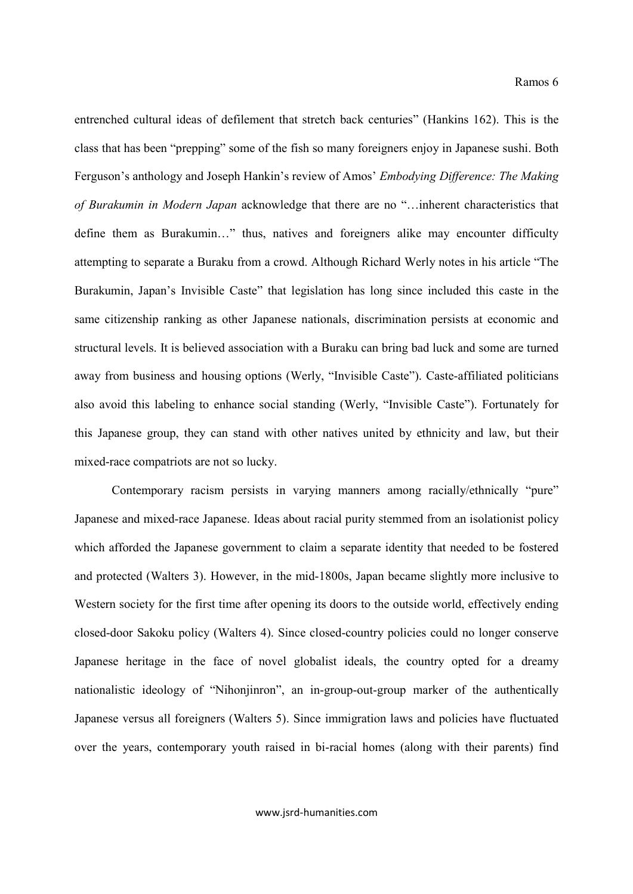entrenched cultural ideas of defilement that stretch back centuries" (Hankins 162). This is the class that has been "prepping" some of the fish so many foreigners enjoy in Japanese sushi. Both Ferguson's anthology and Joseph Hankin's review of Amos' *Embodying Difference: The Making of Burakumin in Modern Japan* acknowledge that there are no "…inherent characteristics that define them as Burakumin…" thus, natives and foreigners alike may encounter difficulty attempting to separate a Buraku from a crowd. Although Richard Werly notes in his article "The Burakumin, Japan's Invisible Caste" that legislation has long since included this caste in the same citizenship ranking as other Japanese nationals, discrimination persists at economic and structural levels. It is believed association with a Buraku can bring bad luck and some are turned away from business and housing options (Werly, "Invisible Caste"). Caste-affiliated politicians also avoid this labeling to enhance social standing (Werly, "Invisible Caste"). Fortunately for this Japanese group, they can stand with other natives united by ethnicity and law, but their mixed-race compatriots are not so lucky.

Contemporary racism persists in varying manners among racially/ethnically "pure" Japanese and mixed-race Japanese. Ideas about racial purity stemmed from an isolationist policy which afforded the Japanese government to claim a separate identity that needed to be fostered and protected (Walters 3). However, in the mid-1800s, Japan became slightly more inclusive to Western society for the first time after opening its doors to the outside world, effectively ending closed-door Sakoku policy (Walters 4). Since closed-country policies could no longer conserve Japanese heritage in the face of novel globalist ideals, the country opted for a dreamy nationalistic ideology of "Nihonjinron", an in-group-out-group marker of the authentically Japanese versus all foreigners (Walters 5). Since immigration laws and policies have fluctuated over the years, contemporary youth raised in bi-racial homes (along with their parents) find

www.jsrd-humanities.com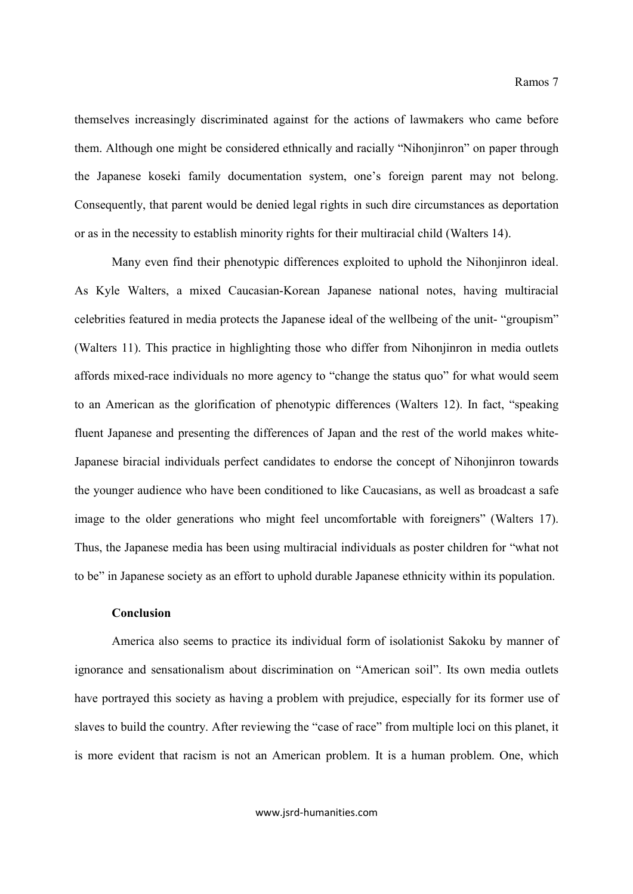themselves increasingly discriminated against for the actions of lawmakers who came before them. Although one might be considered ethnically and racially "Nihonjinron" on paper through the Japanese koseki family documentation system, one's foreign parent may not belong. Consequently, that parent would be denied legal rights in such dire circumstances as deportation or as in the necessity to establish minority rights for their multiracial child (Walters 14).

Many even find their phenotypic differences exploited to uphold the Nihonjinron ideal. As Kyle Walters, a mixed Caucasian-Korean Japanese national notes, having multiracial celebrities featured in media protects the Japanese ideal of the wellbeing of the unit- "groupism" (Walters 11). This practice in highlighting those who differ from Nihonjinron in media outlets affords mixed-race individuals no more agency to "change the status quo" for what would seem to an American as the glorification of phenotypic differences (Walters 12). In fact, "speaking fluent Japanese and presenting the differences of Japan and the rest of the world makes white-Japanese biracial individuals perfect candidates to endorse the concept of Nihonjinron towards the younger audience who have been conditioned to like Caucasians, as well as broadcast a safe image to the older generations who might feel uncomfortable with foreigners" (Walters 17). Thus, the Japanese media has been using multiracial individuals as poster children for "what not to be" in Japanese society as an effort to uphold durable Japanese ethnicity within its population.

### **Conclusion**

America also seems to practice its individual form of isolationist Sakoku by manner of ignorance and sensationalism about discrimination on "American soil". Its own media outlets have portrayed this society as having a problem with prejudice, especially for its former use of slaves to build the country. After reviewing the "case of race" from multiple loci on this planet, it is more evident that racism is not an American problem. It is a human problem. One, which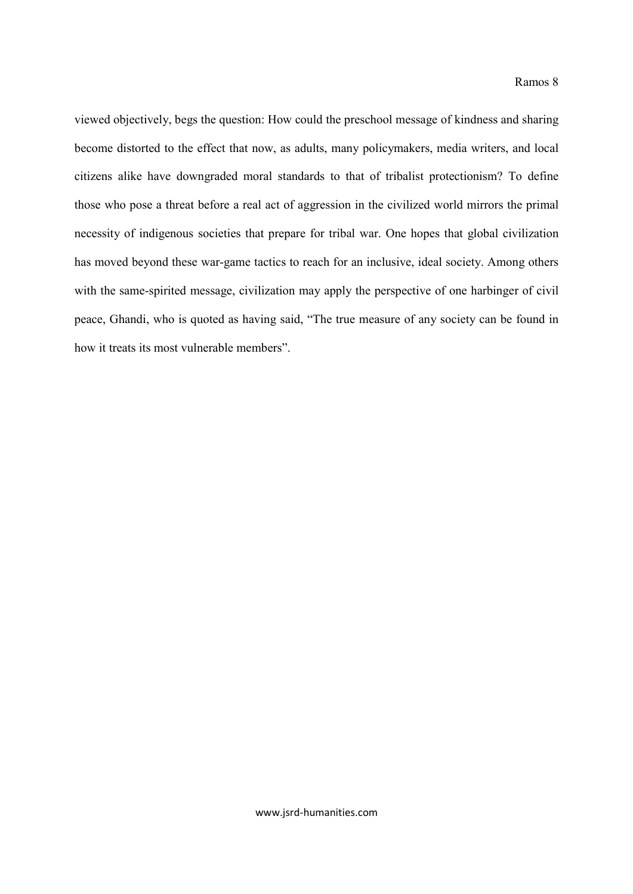viewed objectively, begs the question: How could the preschool message of kindness and sharing become distorted to the effect that now, as adults, many policymakers, media writers, and local citizens alike have downgraded moral standards to that of tribalist protectionism? To define those who pose a threat before a real act of aggression in the civilized world mirrors the primal necessity of indigenous societies that prepare for tribal war. One hopes that global civilization has moved beyond these war-game tactics to reach for an inclusive, ideal society. Among others with the same-spirited message, civilization may apply the perspective of one harbinger of civil peace, Ghandi, who is quoted as having said, "The true measure of any society can be found in how it treats its most vulnerable members".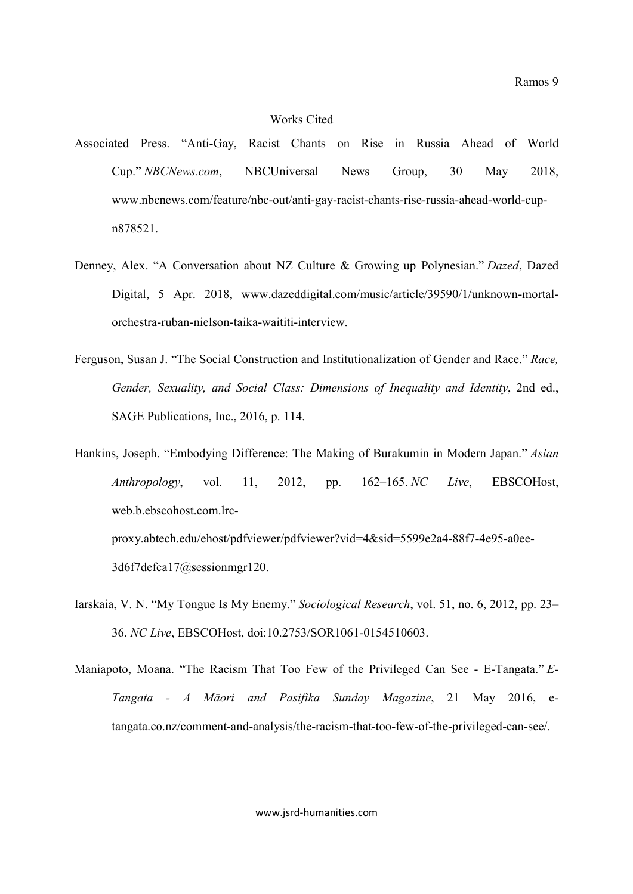### Works Cited

- Associated Press. "Anti-Gay, Racist Chants on Rise in Russia Ahead of World Cup." *NBCNews.com*, NBCUniversal News Group, 30 May 2018, www.nbcnews.com/feature/nbc-out/anti-gay-racist-chants-rise-russia-ahead-world-cupn878521.
- Denney, Alex. "A Conversation about NZ Culture & Growing up Polynesian." *Dazed*, Dazed Digital, 5 Apr. 2018, www.dazeddigital.com/music/article/39590/1/unknown-mortalorchestra-ruban-nielson-taika-waititi-interview.
- Ferguson, Susan J. "The Social Construction and Institutionalization of Gender and Race." *Race, Gender, Sexuality, and Social Class: Dimensions of Inequality and Identity*, 2nd ed., SAGE Publications, Inc., 2016, p. 114.
- Hankins, Joseph. "Embodying Difference: The Making of Burakumin in Modern Japan." *Asian Anthropology*, vol. 11, 2012, pp. 162–165. *NC Live*, EBSCOHost, web.b.ebscohost.com.lrcproxy.abtech.edu/ehost/pdfviewer/pdfviewer?vid=4&sid=5599e2a4-88f7-4e95-a0ee-

3d6f7defca17@sessionmgr120.

- Iarskaia, V. N. "My Tongue Is My Enemy." *Sociological Research*, vol. 51, no. 6, 2012, pp. 23– 36. *NC Live*, EBSCOHost, doi:10.2753/SOR1061-0154510603.
- Maniapoto, Moana. "The Racism That Too Few of the Privileged Can See E-Tangata." *E-Tangata - A Māori and Pasifika Sunday Magazine*, 21 May 2016, etangata.co.nz/comment-and-analysis/the-racism-that-too-few-of-the-privileged-can-see/.